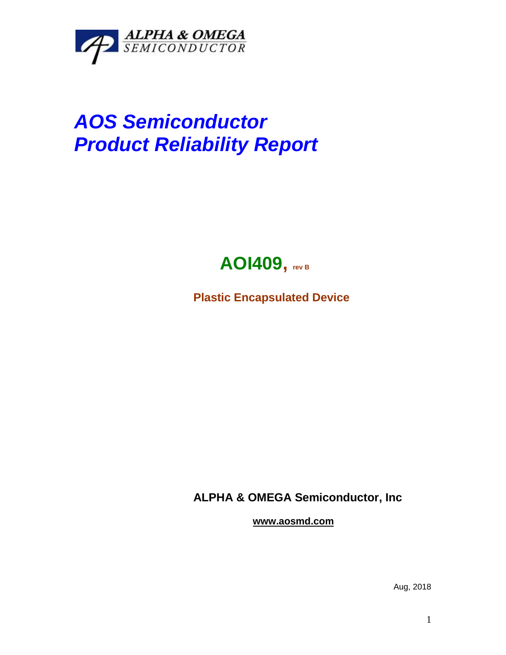

# *AOS Semiconductor Product Reliability Report*



**Plastic Encapsulated Device**

**ALPHA & OMEGA Semiconductor, Inc**

**www.aosmd.com**

Aug, 2018